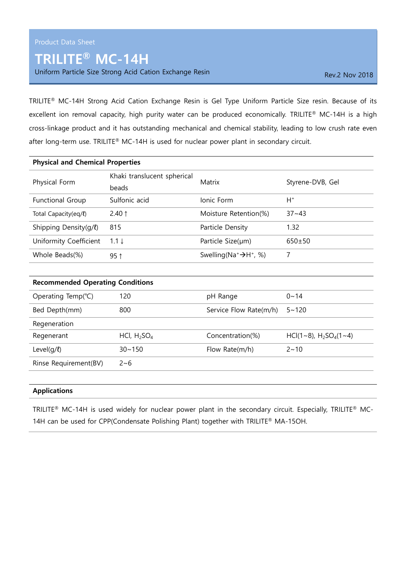## TRILITE® MC-14H

Uniform Particle Size Strong Acid Cation Exchange Resin Rev. 2 Nov 2018

TRILITE® MC-14H Strong Acid Cation Exchange Resin is Gel Type Uniform Particle Size resin. Because of its excellent ion removal capacity, high purity water can be produced economically. TRILITE® MC-14H is a high cross-linkage product and it has outstanding mechanical and chemical stability, leading to low crush rate even after long-term use. TRILITE® MC-14H is used for nuclear power plant in secondary circuit.

| <b>Physical and Chemical Properties</b> |                             |                                        |                  |  |
|-----------------------------------------|-----------------------------|----------------------------------------|------------------|--|
| Physical Form                           | Khaki translucent spherical | Matrix                                 | Styrene-DVB, Gel |  |
|                                         | beads                       |                                        |                  |  |
| Functional Group                        | Sulfonic acid               | Ionic Form                             | H+               |  |
| Total Capacity(eq/l)                    | $2.40 \uparrow$             | Moisture Retention(%)                  | $37 - 43$        |  |
| Shipping Density( $q/l$ )               | 815                         | Particle Density                       | 1.32             |  |
| Uniformity Coefficient                  | $1.1 \downarrow$            | Particle Size(µm)                      | $650+50$         |  |
| Whole Beads(%)                          | $95$ ↑                      | Swelling ( $Na^+ \rightarrow H^+$ , %) | 7                |  |

| <b>Recommended Operating Conditions</b> |                |                        |                               |  |
|-----------------------------------------|----------------|------------------------|-------------------------------|--|
| Operating Temp(°C)                      | 120            | pH Range               | $0 - 14$                      |  |
| Bed Depth(mm)                           | 800            | Service Flow Rate(m/h) | $5 - 120$                     |  |
| Regeneration                            |                |                        |                               |  |
| Regenerant                              | HCl, $H_2SO_4$ | Concentration(%)       | $HCl(1~8)$ , $H_2SO_4(1~1~4)$ |  |
| Level( $q/l$ )                          | $30 - 150$     | Flow Rate(m/h)         | $2 \sim 10$                   |  |
| Rinse Requirement(BV)                   | $2 - 6$        |                        |                               |  |
|                                         |                |                        |                               |  |

## Applications

TRILITE® MC-14H is used widely for nuclear power plant in the secondary circuit. Especially, TRILITE® MC-14H can be used for CPP(Condensate Polishing Plant) together with TRILITE® MA-15OH.